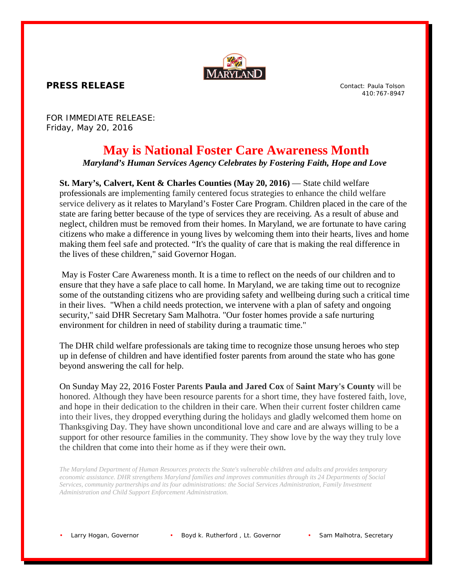

**PRESS RELEASE**

Contact: Paula Tolson 410:767-8947

FOR IMMEDIATE RELEASE: Friday, May 20, 2016

## **May is National Foster Care Awareness Month**

*Maryland's Human Services Agency Celebrates by Fostering Faith, Hope and Love*

**St. Mary's, Calvert, Kent & Charles Counties (May 20, 2016)** — State child welfare professionals are implementing family centered focus strategies to enhance the child welfare service delivery as it relates to Maryland's Foster Care Program. Children placed in the care of the state are faring better because of the type of services they are receiving. As a result of abuse and neglect, children must be removed from their homes. In Maryland, we are fortunate to have caring citizens who make a difference in young lives by welcoming them into their hearts, lives and home making them feel safe and protected. "It's the quality of care that is making the real difference in the lives of these children," said Governor Hogan.

May is Foster Care Awareness month. It is a time to reflect on the needs of our children and to ensure that they have a safe place to call home. In Maryland, we are taking time out to recognize some of the outstanding citizens who are providing safety and wellbeing during such a critical time in their lives. "When a child needs protection, we intervene with a plan of safety and ongoing security," said DHR Secretary Sam Malhotra. "Our foster homes provide a safe nurturing environment for children in need of stability during a traumatic time."

The DHR child welfare professionals are taking time to recognize those unsung heroes who step up in defense of children and have identified foster parents from around the state who has gone beyond answering the call for help.

On Sunday May 22, 2016 Foster Parents **Paula and Jared Cox** of **Saint Mary's County** will be honored. Although they have been resource parents for a short time, they have fostered faith, love, and hope in their dedication to the children in their care. When their current foster children came into their lives, they dropped everything during the holidays and gladly welcomed them home on Thanksgiving Day. They have shown unconditional love and care and are always willing to be a support for other resource families in the community. They show love by the way they truly love the children that come into their home as if they were their own.

*The Maryland Department of Human Resources protects the State's vulnerable children and adults and provides temporary economic assistance. DHR strengthens Maryland families and improves communities through its 24 Departments of Social Services, community partnerships and its four administrations: the Social Services Administration, Family Investment Administration and Child Support Enforcement Administration.*

Larry Hogan, Governor • Boyd k. Rutherford, Lt. Governor • Sam Malhotra, Secretary